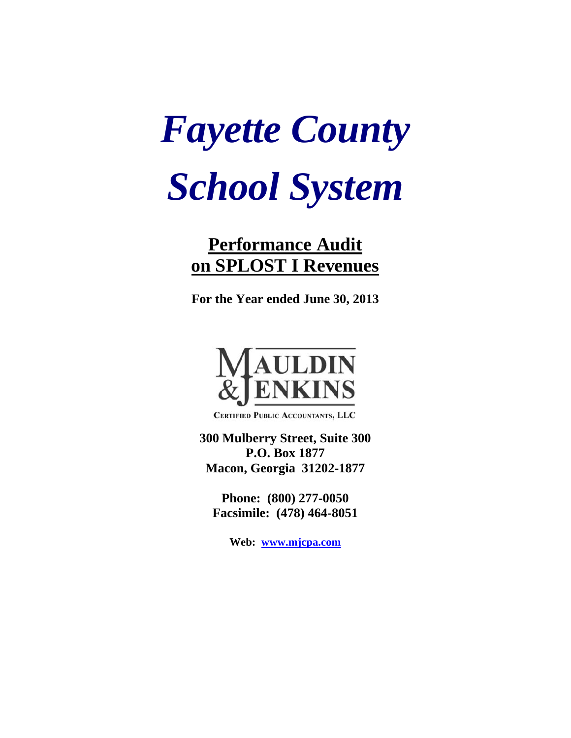# *Fayette County School System*

## **Performance Audit on SPLOST I Revenues**

**For the Year ended June 30, 2013** 



CERTIFIED PUBLIC ACCOUNTANTS, LLC

**300 Mulberry Street, Suite 300 P.O. Box 1877 Macon, Georgia 31202-1877** 

**Phone: (800) 277-0050 Facsimile: (478) 464-8051** 

**Web: www.mjcpa.com**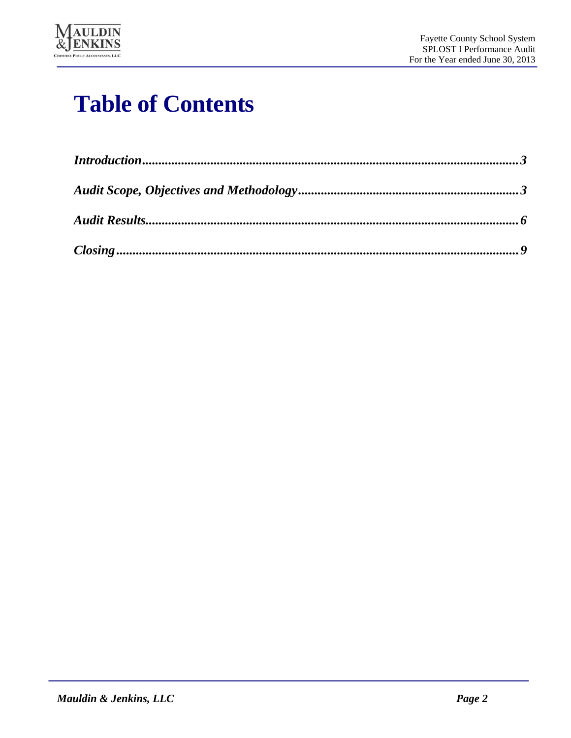

## **Table of Contents**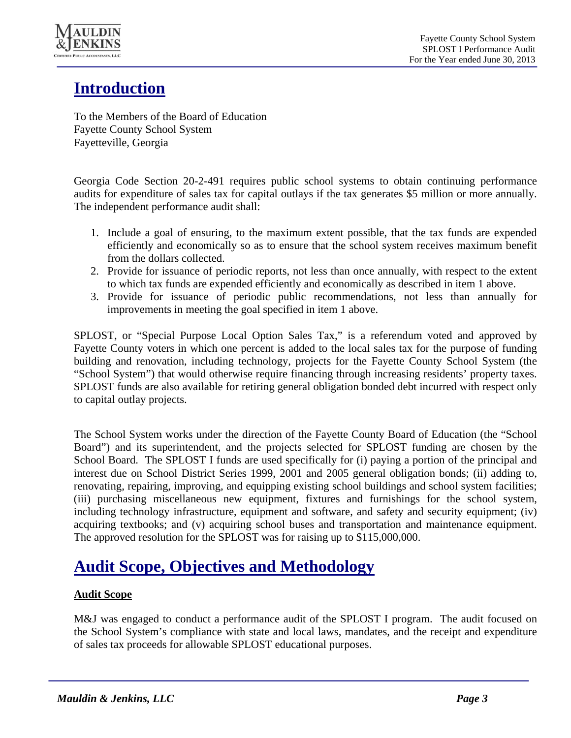

## **Introduction**

To the Members of the Board of Education Fayette County School System Fayetteville, Georgia

Georgia Code Section 20-2-491 requires public school systems to obtain continuing performance audits for expenditure of sales tax for capital outlays if the tax generates \$5 million or more annually. The independent performance audit shall:

- 1. Include a goal of ensuring, to the maximum extent possible, that the tax funds are expended efficiently and economically so as to ensure that the school system receives maximum benefit from the dollars collected.
- 2. Provide for issuance of periodic reports, not less than once annually, with respect to the extent to which tax funds are expended efficiently and economically as described in item 1 above.
- 3. Provide for issuance of periodic public recommendations, not less than annually for improvements in meeting the goal specified in item 1 above.

SPLOST, or "Special Purpose Local Option Sales Tax," is a referendum voted and approved by Fayette County voters in which one percent is added to the local sales tax for the purpose of funding building and renovation, including technology, projects for the Fayette County School System (the "School System") that would otherwise require financing through increasing residents' property taxes. SPLOST funds are also available for retiring general obligation bonded debt incurred with respect only to capital outlay projects.

The School System works under the direction of the Fayette County Board of Education (the "School Board") and its superintendent, and the projects selected for SPLOST funding are chosen by the School Board. The SPLOST I funds are used specifically for (i) paying a portion of the principal and interest due on School District Series 1999, 2001 and 2005 general obligation bonds; (ii) adding to, renovating, repairing, improving, and equipping existing school buildings and school system facilities; (iii) purchasing miscellaneous new equipment, fixtures and furnishings for the school system, including technology infrastructure, equipment and software, and safety and security equipment; (iv) acquiring textbooks; and (v) acquiring school buses and transportation and maintenance equipment. The approved resolution for the SPLOST was for raising up to \$115,000,000.

## **Audit Scope, Objectives and Methodology**

#### **Audit Scope**

M&J was engaged to conduct a performance audit of the SPLOST I program. The audit focused on the School System's compliance with state and local laws, mandates, and the receipt and expenditure of sales tax proceeds for allowable SPLOST educational purposes.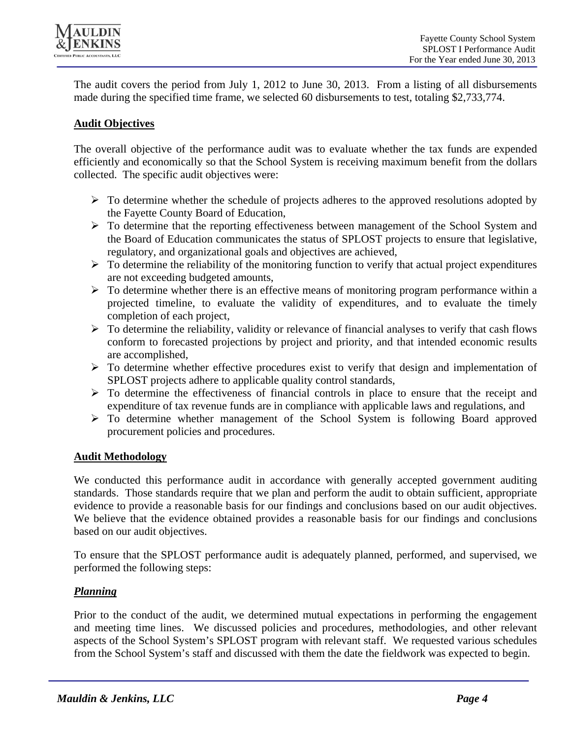

The audit covers the period from July 1, 2012 to June 30, 2013. From a listing of all disbursements made during the specified time frame, we selected 60 disbursements to test, totaling \$2,733,774.

#### **Audit Objectives**

The overall objective of the performance audit was to evaluate whether the tax funds are expended efficiently and economically so that the School System is receiving maximum benefit from the dollars collected. The specific audit objectives were:

- $\triangleright$  To determine whether the schedule of projects adheres to the approved resolutions adopted by the Fayette County Board of Education,
- To determine that the reporting effectiveness between management of the School System and the Board of Education communicates the status of SPLOST projects to ensure that legislative, regulatory, and organizational goals and objectives are achieved,
- $\triangleright$  To determine the reliability of the monitoring function to verify that actual project expenditures are not exceeding budgeted amounts,
- $\triangleright$  To determine whether there is an effective means of monitoring program performance within a projected timeline, to evaluate the validity of expenditures, and to evaluate the timely completion of each project,
- $\triangleright$  To determine the reliability, validity or relevance of financial analyses to verify that cash flows conform to forecasted projections by project and priority, and that intended economic results are accomplished,
- $\triangleright$  To determine whether effective procedures exist to verify that design and implementation of SPLOST projects adhere to applicable quality control standards,
- $\triangleright$  To determine the effectiveness of financial controls in place to ensure that the receipt and expenditure of tax revenue funds are in compliance with applicable laws and regulations, and
- $\triangleright$  To determine whether management of the School System is following Board approved procurement policies and procedures.

#### **Audit Methodology**

We conducted this performance audit in accordance with generally accepted government auditing standards. Those standards require that we plan and perform the audit to obtain sufficient, appropriate evidence to provide a reasonable basis for our findings and conclusions based on our audit objectives. We believe that the evidence obtained provides a reasonable basis for our findings and conclusions based on our audit objectives.

To ensure that the SPLOST performance audit is adequately planned, performed, and supervised, we performed the following steps:

#### *Planning*

Prior to the conduct of the audit, we determined mutual expectations in performing the engagement and meeting time lines. We discussed policies and procedures, methodologies, and other relevant aspects of the School System's SPLOST program with relevant staff. We requested various schedules from the School System's staff and discussed with them the date the fieldwork was expected to begin.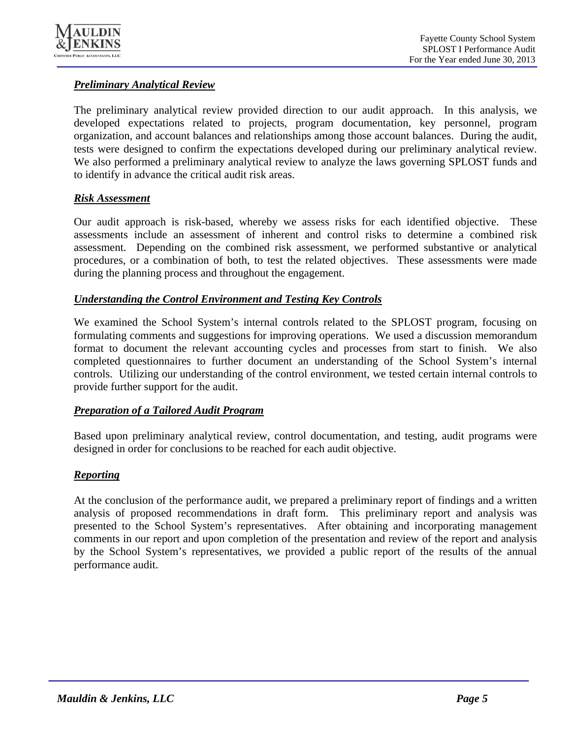

#### *Preliminary Analytical Review*

The preliminary analytical review provided direction to our audit approach. In this analysis, we developed expectations related to projects, program documentation, key personnel, program organization, and account balances and relationships among those account balances. During the audit, tests were designed to confirm the expectations developed during our preliminary analytical review. We also performed a preliminary analytical review to analyze the laws governing SPLOST funds and to identify in advance the critical audit risk areas.

#### *Risk Assessment*

Our audit approach is risk-based, whereby we assess risks for each identified objective. These assessments include an assessment of inherent and control risks to determine a combined risk assessment. Depending on the combined risk assessment, we performed substantive or analytical procedures, or a combination of both, to test the related objectives. These assessments were made during the planning process and throughout the engagement.

#### *Understanding the Control Environment and Testing Key Controls*

We examined the School System's internal controls related to the SPLOST program, focusing on formulating comments and suggestions for improving operations. We used a discussion memorandum format to document the relevant accounting cycles and processes from start to finish. We also completed questionnaires to further document an understanding of the School System's internal controls. Utilizing our understanding of the control environment, we tested certain internal controls to provide further support for the audit.

#### *Preparation of a Tailored Audit Program*

Based upon preliminary analytical review, control documentation, and testing, audit programs were designed in order for conclusions to be reached for each audit objective.

#### *Reporting*

At the conclusion of the performance audit, we prepared a preliminary report of findings and a written analysis of proposed recommendations in draft form. This preliminary report and analysis was presented to the School System's representatives. After obtaining and incorporating management comments in our report and upon completion of the presentation and review of the report and analysis by the School System's representatives, we provided a public report of the results of the annual performance audit.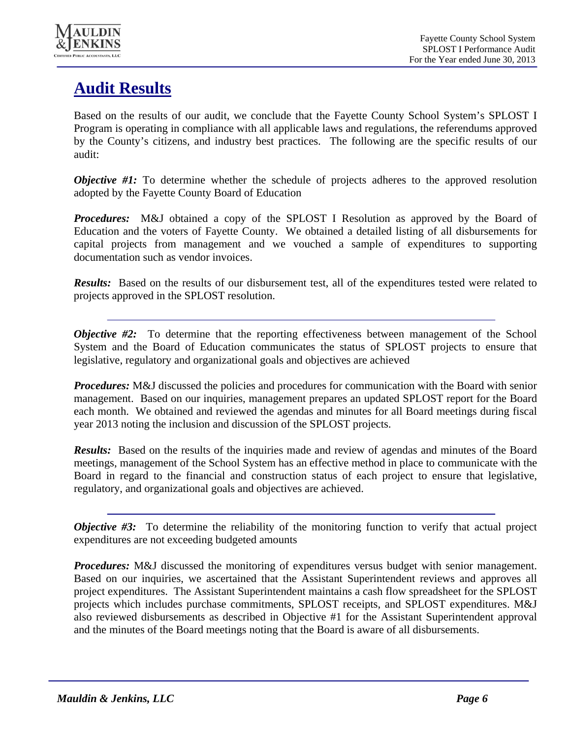

## **Audit Results**

Based on the results of our audit, we conclude that the Fayette County School System's SPLOST I Program is operating in compliance with all applicable laws and regulations, the referendums approved by the County's citizens, and industry best practices. The following are the specific results of our audit:

*Objective #1:* To determine whether the schedule of projects adheres to the approved resolution adopted by the Fayette County Board of Education

*Procedures:* M&J obtained a copy of the SPLOST I Resolution as approved by the Board of Education and the voters of Fayette County. We obtained a detailed listing of all disbursements for capital projects from management and we vouched a sample of expenditures to supporting documentation such as vendor invoices.

*Results:* Based on the results of our disbursement test, all of the expenditures tested were related to projects approved in the SPLOST resolution.

*Objective #2:* To determine that the reporting effectiveness between management of the School System and the Board of Education communicates the status of SPLOST projects to ensure that legislative, regulatory and organizational goals and objectives are achieved

*Procedures:* M&J discussed the policies and procedures for communication with the Board with senior management. Based on our inquiries, management prepares an updated SPLOST report for the Board each month. We obtained and reviewed the agendas and minutes for all Board meetings during fiscal year 2013 noting the inclusion and discussion of the SPLOST projects.

*Results:* Based on the results of the inquiries made and review of agendas and minutes of the Board meetings, management of the School System has an effective method in place to communicate with the Board in regard to the financial and construction status of each project to ensure that legislative, regulatory, and organizational goals and objectives are achieved.

*Objective #3:* To determine the reliability of the monitoring function to verify that actual project expenditures are not exceeding budgeted amounts

*Procedures:* M&J discussed the monitoring of expenditures versus budget with senior management. Based on our inquiries, we ascertained that the Assistant Superintendent reviews and approves all project expenditures. The Assistant Superintendent maintains a cash flow spreadsheet for the SPLOST projects which includes purchase commitments, SPLOST receipts, and SPLOST expenditures. M&J also reviewed disbursements as described in Objective #1 for the Assistant Superintendent approval and the minutes of the Board meetings noting that the Board is aware of all disbursements.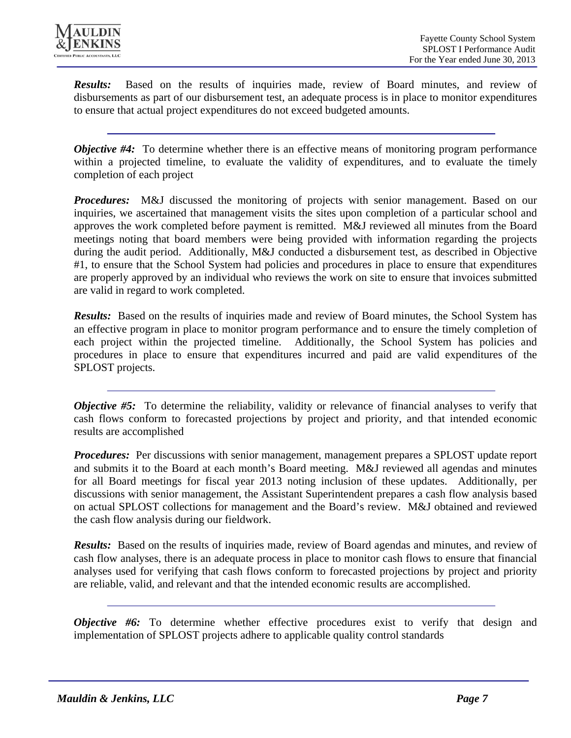

*Results:* Based on the results of inquiries made, review of Board minutes, and review of disbursements as part of our disbursement test, an adequate process is in place to monitor expenditures to ensure that actual project expenditures do not exceed budgeted amounts.

*Objective #4:* To determine whether there is an effective means of monitoring program performance within a projected timeline, to evaluate the validity of expenditures, and to evaluate the timely completion of each project

*Procedures:* M&J discussed the monitoring of projects with senior management. Based on our inquiries, we ascertained that management visits the sites upon completion of a particular school and approves the work completed before payment is remitted. M&J reviewed all minutes from the Board meetings noting that board members were being provided with information regarding the projects during the audit period. Additionally, M&J conducted a disbursement test, as described in Objective #1, to ensure that the School System had policies and procedures in place to ensure that expenditures are properly approved by an individual who reviews the work on site to ensure that invoices submitted are valid in regard to work completed.

*Results:* Based on the results of inquiries made and review of Board minutes, the School System has an effective program in place to monitor program performance and to ensure the timely completion of each project within the projected timeline. Additionally, the School System has policies and procedures in place to ensure that expenditures incurred and paid are valid expenditures of the SPLOST projects.

*Objective #5:* To determine the reliability, validity or relevance of financial analyses to verify that cash flows conform to forecasted projections by project and priority, and that intended economic results are accomplished

*Procedures:* Per discussions with senior management, management prepares a SPLOST update report and submits it to the Board at each month's Board meeting. M&J reviewed all agendas and minutes for all Board meetings for fiscal year 2013 noting inclusion of these updates. Additionally, per discussions with senior management, the Assistant Superintendent prepares a cash flow analysis based on actual SPLOST collections for management and the Board's review. M&J obtained and reviewed the cash flow analysis during our fieldwork.

*Results:* Based on the results of inquiries made, review of Board agendas and minutes, and review of cash flow analyses, there is an adequate process in place to monitor cash flows to ensure that financial analyses used for verifying that cash flows conform to forecasted projections by project and priority are reliable, valid, and relevant and that the intended economic results are accomplished.

*Objective #6:* To determine whether effective procedures exist to verify that design and implementation of SPLOST projects adhere to applicable quality control standards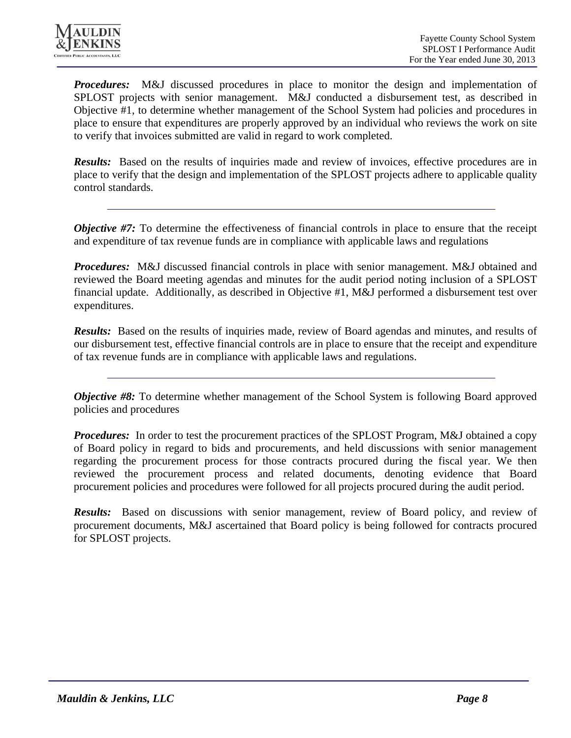

*Procedures:* M&J discussed procedures in place to monitor the design and implementation of SPLOST projects with senior management. M&J conducted a disbursement test, as described in Objective #1, to determine whether management of the School System had policies and procedures in place to ensure that expenditures are properly approved by an individual who reviews the work on site to verify that invoices submitted are valid in regard to work completed.

**Results:** Based on the results of inquiries made and review of invoices, effective procedures are in place to verify that the design and implementation of the SPLOST projects adhere to applicable quality control standards.

*Objective #7:* To determine the effectiveness of financial controls in place to ensure that the receipt and expenditure of tax revenue funds are in compliance with applicable laws and regulations

*Procedures:* M&J discussed financial controls in place with senior management. M&J obtained and reviewed the Board meeting agendas and minutes for the audit period noting inclusion of a SPLOST financial update. Additionally, as described in Objective #1, M&J performed a disbursement test over expenditures.

*Results:* Based on the results of inquiries made, review of Board agendas and minutes, and results of our disbursement test, effective financial controls are in place to ensure that the receipt and expenditure of tax revenue funds are in compliance with applicable laws and regulations.

*Objective #8:* To determine whether management of the School System is following Board approved policies and procedures

*Procedures:* In order to test the procurement practices of the SPLOST Program, M&J obtained a copy of Board policy in regard to bids and procurements, and held discussions with senior management regarding the procurement process for those contracts procured during the fiscal year. We then reviewed the procurement process and related documents, denoting evidence that Board procurement policies and procedures were followed for all projects procured during the audit period.

**Results:** Based on discussions with senior management, review of Board policy, and review of procurement documents, M&J ascertained that Board policy is being followed for contracts procured for SPLOST projects.